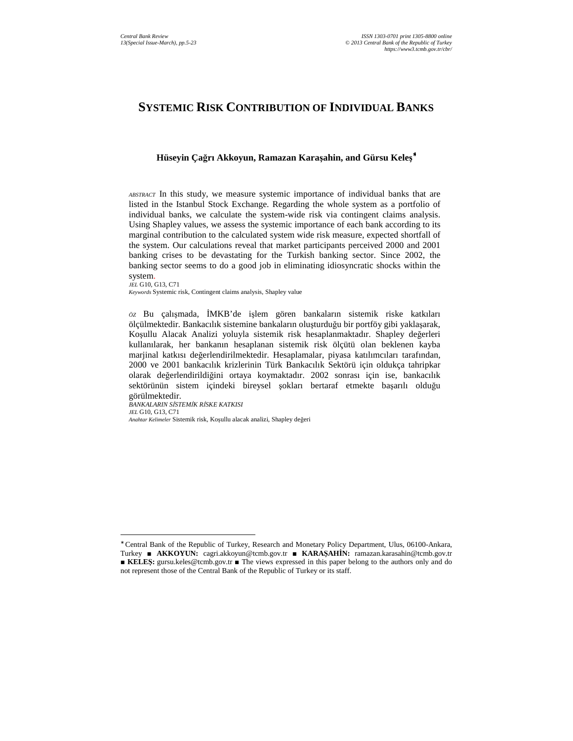# **SYSTEMIC RISK CONTRIBUTION OF INDIVIDUAL BANKS**

## **Hüseyin Çağrı Akkoyun, Ramazan Karaşahin, and Gürsu Keleş** ∗

*ABSTRACT* In this study, we measure systemic importance of individual banks that are listed in the Istanbul Stock Exchange. Regarding the whole system as a portfolio of individual banks, we calculate the system-wide risk via contingent claims analysis. Using Shapley values, we assess the systemic importance of each bank according to its marginal contribution to the calculated system wide risk measure, expected shortfall of the system. Our calculations reveal that market participants perceived 2000 and 2001 banking crises to be devastating for the Turkish banking sector. Since 2002, the banking sector seems to do a good job in eliminating idiosyncratic shocks within the system.

*JEL* G10, G13, C71 *Keywords* Systemic risk, Contingent claims analysis, Shapley value

*ÖZ* Bu çalışmada, ĐMKB'de işlem gören bankaların sistemik riske katkıları ölçülmektedir. Bankacılık sistemine bankaların oluşturduğu bir portföy gibi yaklaşarak, Koşullu Alacak Analizi yoluyla sistemik risk hesaplanmaktadır. Shapley değerleri kullanılarak, her bankanın hesaplanan sistemik risk ölçütü olan beklenen kayba marjinal katkısı değerlendirilmektedir. Hesaplamalar, piyasa katılımcıları tarafından, 2000 ve 2001 bankacılık krizlerinin Türk Bankacılık Sektörü için oldukça tahripkar olarak değerlendirildiğini ortaya koymaktadır. 2002 sonrası için ise, bankacılık sektörünün sistem içindeki bireysel şokları bertaraf etmekte başarılı olduğu görülmektedir.

*BANKALARIN SĐSTEMĐK RĐSKE KATKISI JEL* G10, G13, C71 *Anahtar Kelimeler* Sistemik risk, Koşullu alacak analizi, Shapley değeri

 $\overline{\phantom{a}}$ 

<sup>∗</sup> Central Bank of the Republic of Turkey, Research and Monetary Policy Department, Ulus, 06100-Ankara, Turkey ■ **AKKOYUN:** cagri.akkoyun@tcmb.gov.tr ■ **KARAŞAHĐN:** ramazan.karasahin@tcmb.gov.tr ■ **KELEŞ**: gursu.keles@tcmb.gov.tr ■ The views expressed in this paper belong to the authors only and do not represent those of the Central Bank of the Republic of Turkey or its staff.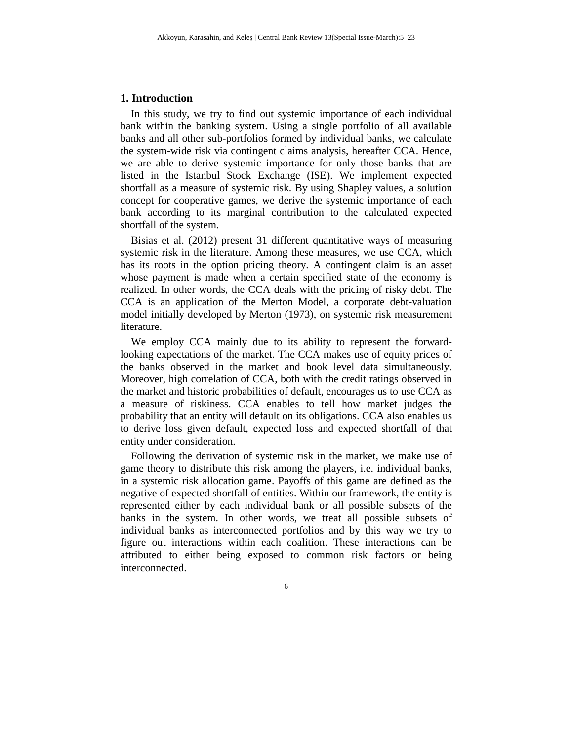## **1. Introduction**

In this study, we try to find out systemic importance of each individual bank within the banking system. Using a single portfolio of all available banks and all other sub-portfolios formed by individual banks, we calculate the system-wide risk via contingent claims analysis, hereafter CCA. Hence, we are able to derive systemic importance for only those banks that are listed in the Istanbul Stock Exchange (ISE). We implement expected shortfall as a measure of systemic risk. By using Shapley values, a solution concept for cooperative games, we derive the systemic importance of each bank according to its marginal contribution to the calculated expected shortfall of the system.

Bisias et al. (2012) present 31 different quantitative ways of measuring systemic risk in the literature. Among these measures, we use CCA, which has its roots in the option pricing theory. A contingent claim is an asset whose payment is made when a certain specified state of the economy is realized. In other words, the CCA deals with the pricing of risky debt. The CCA is an application of the Merton Model, a corporate debt-valuation model initially developed by Merton (1973), on systemic risk measurement literature.

We employ CCA mainly due to its ability to represent the forwardlooking expectations of the market. The CCA makes use of equity prices of the banks observed in the market and book level data simultaneously. Moreover, high correlation of CCA, both with the credit ratings observed in the market and historic probabilities of default, encourages us to use CCA as a measure of riskiness. CCA enables to tell how market judges the probability that an entity will default on its obligations. CCA also enables us to derive loss given default, expected loss and expected shortfall of that entity under consideration.

Following the derivation of systemic risk in the market, we make use of game theory to distribute this risk among the players, i.e. individual banks, in a systemic risk allocation game. Payoffs of this game are defined as the negative of expected shortfall of entities. Within our framework, the entity is represented either by each individual bank or all possible subsets of the banks in the system. In other words, we treat all possible subsets of individual banks as interconnected portfolios and by this way we try to figure out interactions within each coalition. These interactions can be attributed to either being exposed to common risk factors or being interconnected.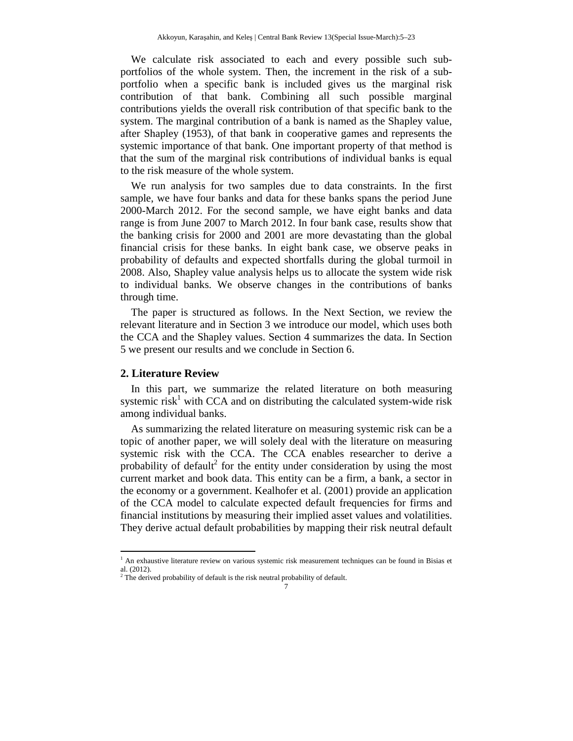We calculate risk associated to each and every possible such subportfolios of the whole system. Then, the increment in the risk of a subportfolio when a specific bank is included gives us the marginal risk contribution of that bank. Combining all such possible marginal contributions yields the overall risk contribution of that specific bank to the system. The marginal contribution of a bank is named as the Shapley value, after Shapley (1953), of that bank in cooperative games and represents the systemic importance of that bank. One important property of that method is that the sum of the marginal risk contributions of individual banks is equal to the risk measure of the whole system.

We run analysis for two samples due to data constraints. In the first sample, we have four banks and data for these banks spans the period June 2000-March 2012. For the second sample, we have eight banks and data range is from June 2007 to March 2012. In four bank case, results show that the banking crisis for 2000 and 2001 are more devastating than the global financial crisis for these banks. In eight bank case, we observe peaks in probability of defaults and expected shortfalls during the global turmoil in 2008. Also, Shapley value analysis helps us to allocate the system wide risk to individual banks. We observe changes in the contributions of banks through time.

The paper is structured as follows. In the Next Section, we review the relevant literature and in Section 3 we introduce our model, which uses both the CCA and the Shapley values. Section 4 summarizes the data. In Section 5 we present our results and we conclude in Section 6.

### **2. Literature Review**

l

In this part, we summarize the related literature on both measuring systemic risk<sup>1</sup> with CCA and on distributing the calculated system-wide risk among individual banks.

As summarizing the related literature on measuring systemic risk can be a topic of another paper, we will solely deal with the literature on measuring systemic risk with the CCA. The CCA enables researcher to derive a probability of default<sup>2</sup> for the entity under consideration by using the most current market and book data. This entity can be a firm, a bank, a sector in the economy or a government. Kealhofer et al. (2001) provide an application of the CCA model to calculate expected default frequencies for firms and financial institutions by measuring their implied asset values and volatilities. They derive actual default probabilities by mapping their risk neutral default

<sup>&</sup>lt;sup>1</sup> An exhaustive literature review on various systemic risk measurement techniques can be found in Bisias et al. (2012).<br><sup>2</sup> The derived probability of default is the risk neutral probability of default.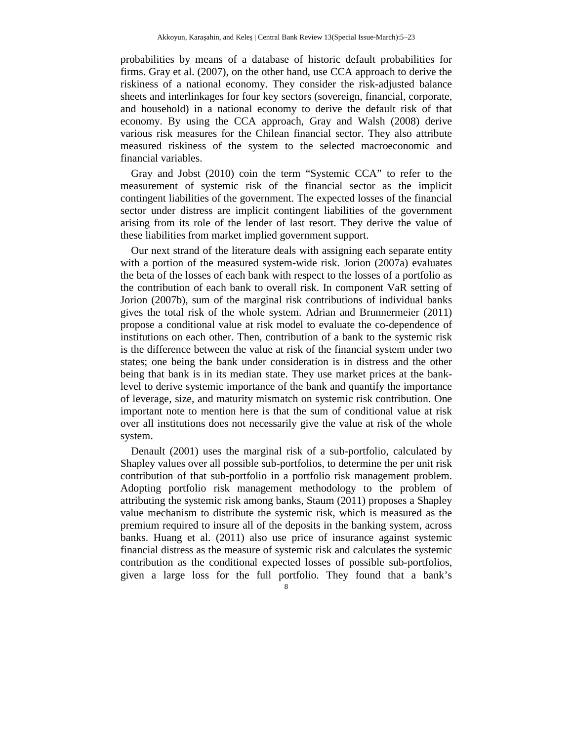probabilities by means of a database of historic default probabilities for firms. Gray et al. (2007), on the other hand, use CCA approach to derive the riskiness of a national economy. They consider the risk-adjusted balance sheets and interlinkages for four key sectors (sovereign, financial, corporate, and household) in a national economy to derive the default risk of that economy. By using the CCA approach, Gray and Walsh (2008) derive various risk measures for the Chilean financial sector. They also attribute measured riskiness of the system to the selected macroeconomic and financial variables.

Gray and Jobst (2010) coin the term "Systemic CCA" to refer to the measurement of systemic risk of the financial sector as the implicit contingent liabilities of the government. The expected losses of the financial sector under distress are implicit contingent liabilities of the government arising from its role of the lender of last resort. They derive the value of these liabilities from market implied government support.

Our next strand of the literature deals with assigning each separate entity with a portion of the measured system-wide risk. Jorion (2007a) evaluates the beta of the losses of each bank with respect to the losses of a portfolio as the contribution of each bank to overall risk. In component VaR setting of Jorion (2007b), sum of the marginal risk contributions of individual banks gives the total risk of the whole system. Adrian and Brunnermeier (2011) propose a conditional value at risk model to evaluate the co-dependence of institutions on each other. Then, contribution of a bank to the systemic risk is the difference between the value at risk of the financial system under two states; one being the bank under consideration is in distress and the other being that bank is in its median state. They use market prices at the banklevel to derive systemic importance of the bank and quantify the importance of leverage, size, and maturity mismatch on systemic risk contribution. One important note to mention here is that the sum of conditional value at risk over all institutions does not necessarily give the value at risk of the whole system.

Denault (2001) uses the marginal risk of a sub-portfolio, calculated by Shapley values over all possible sub-portfolios, to determine the per unit risk contribution of that sub-portfolio in a portfolio risk management problem. Adopting portfolio risk management methodology to the problem of attributing the systemic risk among banks, Staum (2011) proposes a Shapley value mechanism to distribute the systemic risk, which is measured as the premium required to insure all of the deposits in the banking system, across banks. Huang et al. (2011) also use price of insurance against systemic financial distress as the measure of systemic risk and calculates the systemic contribution as the conditional expected losses of possible sub-portfolios, given a large loss for the full portfolio. They found that a bank's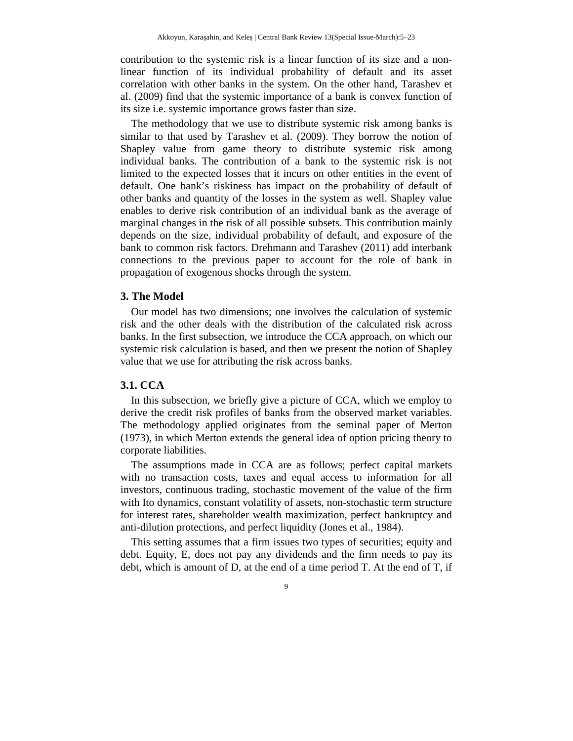contribution to the systemic risk is a linear function of its size and a nonlinear function of its individual probability of default and its asset correlation with other banks in the system. On the other hand, Tarashev et al. (2009) find that the systemic importance of a bank is convex function of its size i.e. systemic importance grows faster than size.

The methodology that we use to distribute systemic risk among banks is similar to that used by Tarashev et al. (2009). They borrow the notion of Shapley value from game theory to distribute systemic risk among individual banks. The contribution of a bank to the systemic risk is not limited to the expected losses that it incurs on other entities in the event of default. One bank's riskiness has impact on the probability of default of other banks and quantity of the losses in the system as well. Shapley value enables to derive risk contribution of an individual bank as the average of marginal changes in the risk of all possible subsets. This contribution mainly depends on the size, individual probability of default, and exposure of the bank to common risk factors. Drehmann and Tarashev (2011) add interbank connections to the previous paper to account for the role of bank in propagation of exogenous shocks through the system.

### **3. The Model**

Our model has two dimensions; one involves the calculation of systemic risk and the other deals with the distribution of the calculated risk across banks. In the first subsection, we introduce the CCA approach, on which our systemic risk calculation is based, and then we present the notion of Shapley value that we use for attributing the risk across banks.

# **3.1. CCA**

In this subsection, we briefly give a picture of CCA, which we employ to derive the credit risk profiles of banks from the observed market variables. The methodology applied originates from the seminal paper of Merton (1973), in which Merton extends the general idea of option pricing theory to corporate liabilities.

The assumptions made in CCA are as follows; perfect capital markets with no transaction costs, taxes and equal access to information for all investors, continuous trading, stochastic movement of the value of the firm with Ito dynamics, constant volatility of assets, non-stochastic term structure for interest rates, shareholder wealth maximization, perfect bankruptcy and anti-dilution protections, and perfect liquidity (Jones et al., 1984).

This setting assumes that a firm issues two types of securities; equity and debt. Equity, E, does not pay any dividends and the firm needs to pay its debt, which is amount of D, at the end of a time period T. At the end of T, if

 $\overline{9}$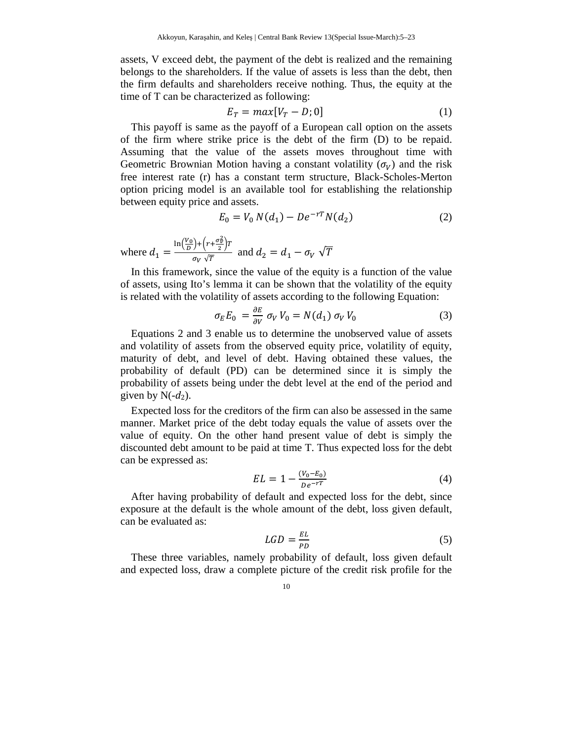assets, V exceed debt, the payment of the debt is realized and the remaining belongs to the shareholders. If the value of assets is less than the debt, then the firm defaults and shareholders receive nothing. Thus, the equity at the time of T can be characterized as following:

$$
E_T = max[V_T - D; 0]
$$
 (1)

This payoff is same as the payoff of a European call option on the assets of the firm where strike price is the debt of the firm (D) to be repaid. Assuming that the value of the assets moves throughout time with Geometric Brownian Motion having a constant volatility  $(\sigma_V)$  and the risk free interest rate (r) has a constant term structure, Black-Scholes-Merton option pricing model is an available tool for establishing the relationship between equity price and assets.

$$
E_0 = V_0 N(d_1) - D e^{-rT} N(d_2)
$$
 (2)

where  $d_1 =$  $\ln\left(\frac{V_0}{D}\right) + \left(r + \frac{\sigma_v^2}{2}\right)$  $\frac{\sigma_{\nu}^2}{2}$  $T$  $\frac{\partial}{\partial v} \frac{\partial}{\partial \overline{r}}$  and  $d_2 = d_1 - \sigma_V \sqrt{T}$ 

In this framework, since the value of the equity is a function of the value of assets, using Ito's lemma it can be shown that the volatility of the equity is related with the volatility of assets according to the following Equation:

$$
\sigma_E E_0 = \frac{\partial E}{\partial V} \sigma_V V_0 = N(d_1) \sigma_V V_0 \tag{3}
$$

Equations 2 and 3 enable us to determine the unobserved value of assets and volatility of assets from the observed equity price, volatility of equity, maturity of debt, and level of debt. Having obtained these values, the probability of default (PD) can be determined since it is simply the probability of assets being under the debt level at the end of the period and given by  $N(-d_2)$ .

Expected loss for the creditors of the firm can also be assessed in the same manner. Market price of the debt today equals the value of assets over the value of equity. On the other hand present value of debt is simply the discounted debt amount to be paid at time T. Thus expected loss for the debt can be expressed as:

$$
EL = 1 - \frac{(V_0 - E_0)}{De^{-rT}}
$$
\n(4)

After having probability of default and expected loss for the debt, since exposure at the default is the whole amount of the debt, loss given default, can be evaluated as:

$$
LGD = \frac{EL}{PD} \tag{5}
$$

These three variables, namely probability of default, loss given default and expected loss, draw a complete picture of the credit risk profile for the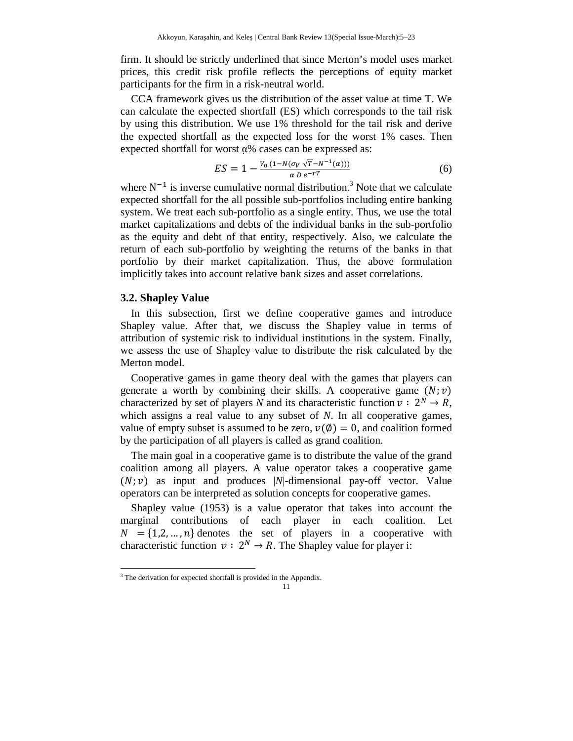firm. It should be strictly underlined that since Merton's model uses market prices, this credit risk profile reflects the perceptions of equity market participants for the firm in a risk-neutral world.

CCA framework gives us the distribution of the asset value at time T. We can calculate the expected shortfall (ES) which corresponds to the tail risk by using this distribution. We use 1% threshold for the tail risk and derive the expected shortfall as the expected loss for the worst 1% cases. Then expected shortfall for worst α% cases can be expressed as:

$$
ES = 1 - \frac{V_0 (1 - N(\sigma_V \sqrt{T} - N^{-1}(a)))}{\alpha D e^{-rT}}
$$
(6)

where  $N^{-1}$  is inverse cumulative normal distribution.<sup>3</sup> Note that we calculate expected shortfall for the all possible sub-portfolios including entire banking system. We treat each sub-portfolio as a single entity. Thus, we use the total market capitalizations and debts of the individual banks in the sub-portfolio as the equity and debt of that entity, respectively. Also, we calculate the return of each sub-portfolio by weighting the returns of the banks in that portfolio by their market capitalization. Thus, the above formulation implicitly takes into account relative bank sizes and asset correlations.

## **3.2. Shapley Value**

 $\overline{\phantom{a}}$ 

In this subsection, first we define cooperative games and introduce Shapley value. After that, we discuss the Shapley value in terms of attribution of systemic risk to individual institutions in the system. Finally, we assess the use of Shapley value to distribute the risk calculated by the Merton model.

Cooperative games in game theory deal with the games that players can generate a worth by combining their skills. A cooperative game  $(N; v)$ characterized by set of players *N* and its characteristic function  $v : 2^N \rightarrow R$ , which assigns a real value to any subset of *N*. In all cooperative games, value of empty subset is assumed to be zero,  $v(\phi) = 0$ , and coalition formed by the participation of all players is called as grand coalition.

The main goal in a cooperative game is to distribute the value of the grand coalition among all players. A value operator takes a cooperative game  $(N; v)$  as input and produces |N|-dimensional pay-off vector. Value operators can be interpreted as solution concepts for cooperative games.

Shapley value (1953) is a value operator that takes into account the marginal contributions of each player in each coalition. Let  $N = \{1,2,...,n\}$  denotes the set of players in a cooperative with characteristic function  $v: 2^N \to R$ . The Shapley value for player i:

<sup>&</sup>lt;sup>3</sup> The derivation for expected shortfall is provided in the Appendix.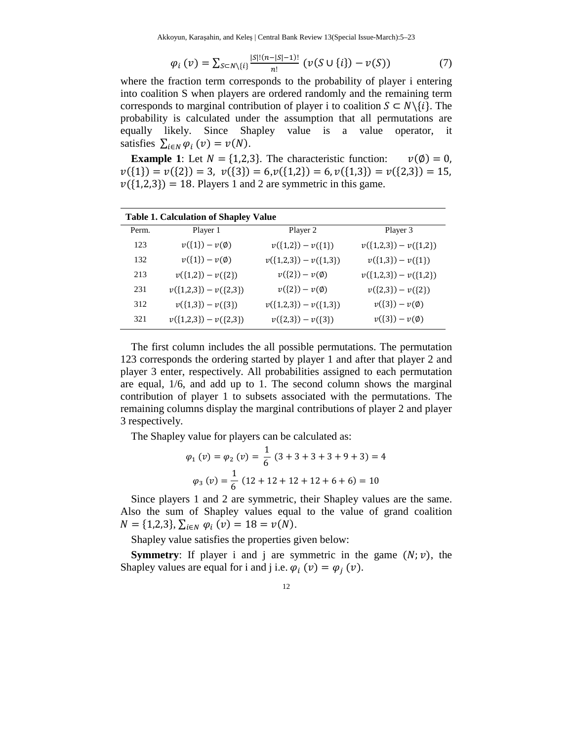Akkoyun, Karaşahin, and Keleş | Central Bank Review 13(Special Issue-March):5–23

$$
\varphi_i(v) = \sum_{S \subset N \setminus \{i\}} \frac{|S|!(n-|S|-1)!}{n!} \left( \nu(S \cup \{i\}) - \nu(S) \right) \tag{7}
$$

where the fraction term corresponds to the probability of player i entering into coalition S when players are ordered randomly and the remaining term corresponds to marginal contribution of player i to coalition  $S \subset N\setminus\{i\}$ . The probability is calculated under the assumption that all permutations are equally likely. Since Shapley value is a value operator, it satisfies  $\sum_{i \in N} \varphi_i(v) = v(N)$ .

**Example 1**: Let  $N = \{1,2,3\}$ . The characteristic function:  $v(\emptyset) = 0$ ,  $v({1}) = v({2}) = 3, v({3}) = 6, v({1,2}) = 6, v({1,3}) = v({2,3}) = 15,$  $v({1,2,3}) = 18$ . Players 1 and 2 are symmetric in this game.

| <b>Table 1. Calculation of Shapley Value</b> |                         |                         |                         |
|----------------------------------------------|-------------------------|-------------------------|-------------------------|
| Perm.                                        | Player 1                | Player 2                | Player 3                |
| 123                                          | $v({1}) - v(\emptyset)$ | $v({1,2}) - v({1})$     | $v({1,2,3}) - v({1,2})$ |
| 132                                          | $v({1}) - v(\emptyset)$ | $v({1,2,3}) - v({1,3})$ | $v({1,3}) - v({1})$     |
| 213                                          | $v({1,2}) - v({2})$     | $v({2})-v(\emptyset)$   | $v({1,2,3}) - v({1,2})$ |
| 231                                          | $v({1,2,3}) - v({2,3})$ | $v({2})-v(\emptyset)$   | $v({2,3})-v({2})$       |
| 312                                          | $v({1,3}) - v({3})$     | $v({1,2,3}) - v({1,3})$ | $v({3})-v(\emptyset)$   |
| 321                                          | $v({1,2,3}) - v({2,3})$ | $v({2,3}) - v({3})$     | $v({3})-v(\emptyset)$   |

The first column includes the all possible permutations. The permutation 123 corresponds the ordering started by player 1 and after that player 2 and player 3 enter, respectively. All probabilities assigned to each permutation are equal, 1/6, and add up to 1. The second column shows the marginal contribution of player 1 to subsets associated with the permutations. The remaining columns display the marginal contributions of player 2 and player 3 respectively.

The Shapley value for players can be calculated as:

$$
\varphi_1(v) = \varphi_2(v) = \frac{1}{6} (3 + 3 + 3 + 3 + 9 + 3) = 4
$$

$$
\varphi_3(v) = \frac{1}{6} (12 + 12 + 12 + 12 + 6 + 6) = 10
$$

Since players 1 and 2 are symmetric, their Shapley values are the same. Also the sum of Shapley values equal to the value of grand coalition  $N = \{1,2,3\}, \sum_{i \in N} \varphi_i(v) = 18 = v(N).$ 

Shapley value satisfies the properties given below:

**Symmetry:** If player i and j are symmetric in the game  $(N; v)$ , the Shapley values are equal for i and j i.e.  $\varphi_i(v) = \varphi_j(v)$ .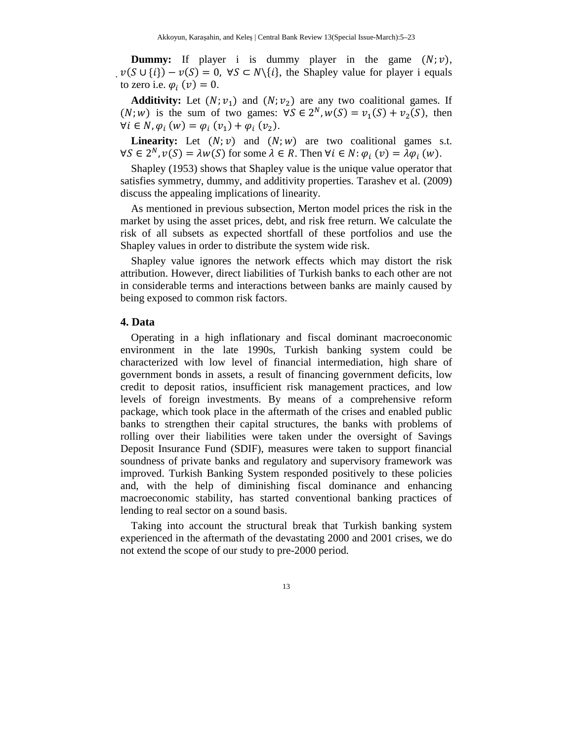**Dummy:** If player i is dummy player in the game  $(N; v)$ ,  $v(S \cup \{i\}) - v(S) = 0$ ,  $\forall S \subset N\{i\}$ , the Shapley value for player i equals to zero i.e.  $\varphi_i(v) = 0$ .

**Additivity:** Let  $(N; v_1)$  and  $(N; v_2)$  are any two coalitional games. If  $(N; w)$  is the sum of two games:  $\forall S \in 2^N, w(S) = v_1(S) + v_2(S)$ , then  $\forall i \in N, \varphi_i (w) = \varphi_i (v_1) + \varphi_i (v_2).$ 

**Linearity:** Let  $(N; v)$  and  $(N; w)$  are two coalitional games s.t.  $\forall S \in 2^N, v(S) = \lambda w(S)$  for some  $\lambda \in R$ . Then  $\forall i \in N$ :  $\varphi_i(v) = \lambda \varphi_i(w)$ .

Shapley (1953) shows that Shapley value is the unique value operator that satisfies symmetry, dummy, and additivity properties. Tarashev et al. (2009) discuss the appealing implications of linearity.

As mentioned in previous subsection, Merton model prices the risk in the market by using the asset prices, debt, and risk free return. We calculate the risk of all subsets as expected shortfall of these portfolios and use the Shapley values in order to distribute the system wide risk.

Shapley value ignores the network effects which may distort the risk attribution. However, direct liabilities of Turkish banks to each other are not in considerable terms and interactions between banks are mainly caused by being exposed to common risk factors.

#### **4. Data**

Operating in a high inflationary and fiscal dominant macroeconomic environment in the late 1990s, Turkish banking system could be characterized with low level of financial intermediation, high share of government bonds in assets, a result of financing government deficits, low credit to deposit ratios, insufficient risk management practices, and low levels of foreign investments. By means of a comprehensive reform package, which took place in the aftermath of the crises and enabled public banks to strengthen their capital structures, the banks with problems of rolling over their liabilities were taken under the oversight of Savings Deposit Insurance Fund (SDIF), measures were taken to support financial soundness of private banks and regulatory and supervisory framework was improved. Turkish Banking System responded positively to these policies and, with the help of diminishing fiscal dominance and enhancing macroeconomic stability, has started conventional banking practices of lending to real sector on a sound basis.

Taking into account the structural break that Turkish banking system experienced in the aftermath of the devastating 2000 and 2001 crises, we do not extend the scope of our study to pre-2000 period.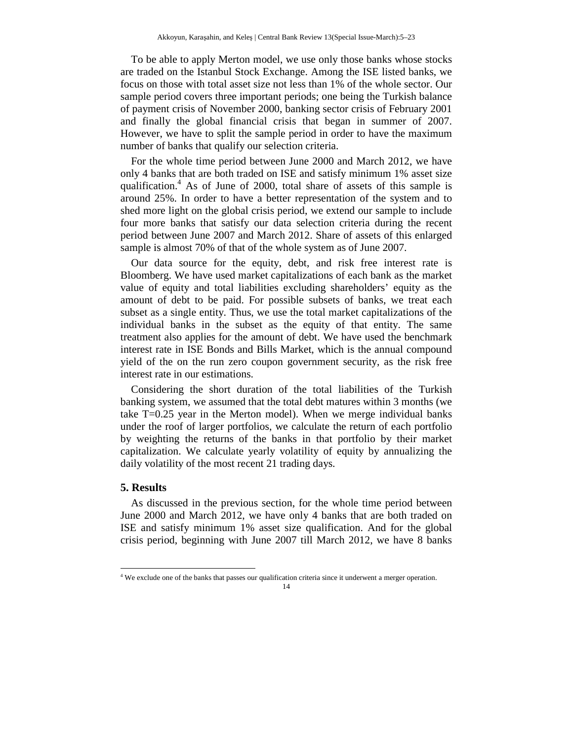To be able to apply Merton model, we use only those banks whose stocks are traded on the Istanbul Stock Exchange. Among the ISE listed banks, we focus on those with total asset size not less than 1% of the whole sector. Our sample period covers three important periods; one being the Turkish balance of payment crisis of November 2000, banking sector crisis of February 2001 and finally the global financial crisis that began in summer of 2007. However, we have to split the sample period in order to have the maximum number of banks that qualify our selection criteria.

For the whole time period between June 2000 and March 2012, we have only 4 banks that are both traded on ISE and satisfy minimum 1% asset size qualification.<sup>4</sup> As of June of 2000, total share of assets of this sample is around 25%. In order to have a better representation of the system and to shed more light on the global crisis period, we extend our sample to include four more banks that satisfy our data selection criteria during the recent period between June 2007 and March 2012. Share of assets of this enlarged sample is almost 70% of that of the whole system as of June 2007.

Our data source for the equity, debt, and risk free interest rate is Bloomberg. We have used market capitalizations of each bank as the market value of equity and total liabilities excluding shareholders' equity as the amount of debt to be paid. For possible subsets of banks, we treat each subset as a single entity. Thus, we use the total market capitalizations of the individual banks in the subset as the equity of that entity. The same treatment also applies for the amount of debt. We have used the benchmark interest rate in ISE Bonds and Bills Market, which is the annual compound yield of the on the run zero coupon government security, as the risk free interest rate in our estimations.

Considering the short duration of the total liabilities of the Turkish banking system, we assumed that the total debt matures within 3 months (we take T=0.25 year in the Merton model). When we merge individual banks under the roof of larger portfolios, we calculate the return of each portfolio by weighting the returns of the banks in that portfolio by their market capitalization. We calculate yearly volatility of equity by annualizing the daily volatility of the most recent 21 trading days.

### **5. Results**

 $\overline{\phantom{a}}$ 

As discussed in the previous section, for the whole time period between June 2000 and March 2012, we have only 4 banks that are both traded on ISE and satisfy minimum 1% asset size qualification. And for the global crisis period, beginning with June 2007 till March 2012, we have 8 banks

<sup>&</sup>lt;sup>4</sup> We exclude one of the banks that passes our qualification criteria since it underwent a merger operation.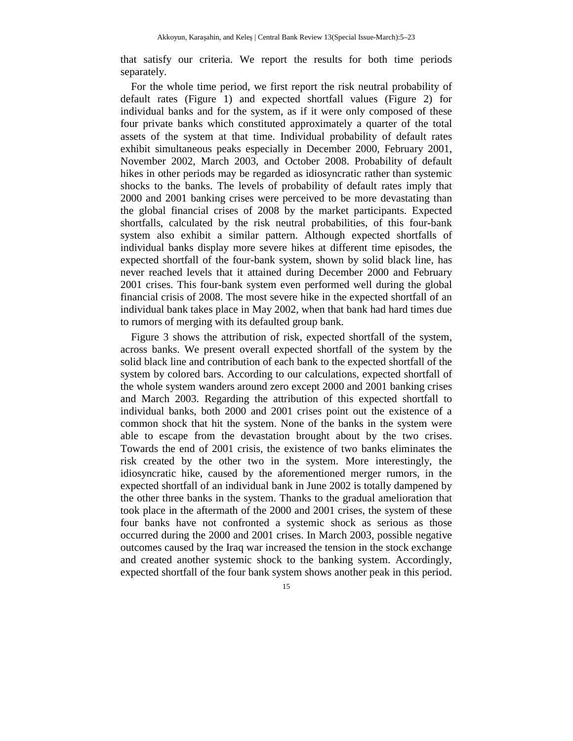that satisfy our criteria. We report the results for both time periods separately.

For the whole time period, we first report the risk neutral probability of default rates (Figure 1) and expected shortfall values (Figure 2) for individual banks and for the system, as if it were only composed of these four private banks which constituted approximately a quarter of the total assets of the system at that time. Individual probability of default rates exhibit simultaneous peaks especially in December 2000, February 2001, November 2002, March 2003, and October 2008. Probability of default hikes in other periods may be regarded as idiosyncratic rather than systemic shocks to the banks. The levels of probability of default rates imply that 2000 and 2001 banking crises were perceived to be more devastating than the global financial crises of 2008 by the market participants. Expected shortfalls, calculated by the risk neutral probabilities, of this four-bank system also exhibit a similar pattern. Although expected shortfalls of individual banks display more severe hikes at different time episodes, the expected shortfall of the four-bank system, shown by solid black line, has never reached levels that it attained during December 2000 and February 2001 crises. This four-bank system even performed well during the global financial crisis of 2008. The most severe hike in the expected shortfall of an individual bank takes place in May 2002, when that bank had hard times due to rumors of merging with its defaulted group bank.

Figure 3 shows the attribution of risk, expected shortfall of the system, across banks. We present overall expected shortfall of the system by the solid black line and contribution of each bank to the expected shortfall of the system by colored bars. According to our calculations, expected shortfall of the whole system wanders around zero except 2000 and 2001 banking crises and March 2003. Regarding the attribution of this expected shortfall to individual banks, both 2000 and 2001 crises point out the existence of a common shock that hit the system. None of the banks in the system were able to escape from the devastation brought about by the two crises. Towards the end of 2001 crisis, the existence of two banks eliminates the risk created by the other two in the system. More interestingly, the idiosyncratic hike, caused by the aforementioned merger rumors, in the expected shortfall of an individual bank in June 2002 is totally dampened by the other three banks in the system. Thanks to the gradual amelioration that took place in the aftermath of the 2000 and 2001 crises, the system of these four banks have not confronted a systemic shock as serious as those occurred during the 2000 and 2001 crises. In March 2003, possible negative outcomes caused by the Iraq war increased the tension in the stock exchange and created another systemic shock to the banking system. Accordingly, expected shortfall of the four bank system shows another peak in this period.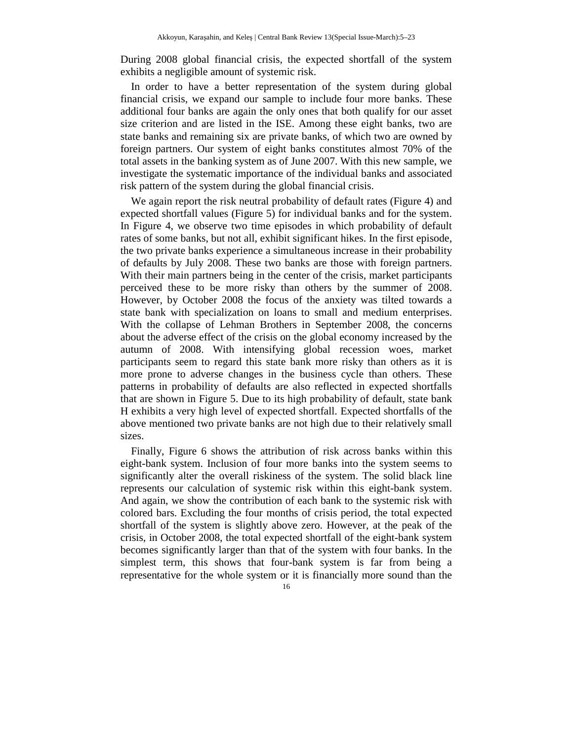During 2008 global financial crisis, the expected shortfall of the system exhibits a negligible amount of systemic risk.

In order to have a better representation of the system during global financial crisis, we expand our sample to include four more banks. These additional four banks are again the only ones that both qualify for our asset size criterion and are listed in the ISE. Among these eight banks, two are state banks and remaining six are private banks, of which two are owned by foreign partners. Our system of eight banks constitutes almost 70% of the total assets in the banking system as of June 2007. With this new sample, we investigate the systematic importance of the individual banks and associated risk pattern of the system during the global financial crisis.

We again report the risk neutral probability of default rates (Figure 4) and expected shortfall values (Figure 5) for individual banks and for the system. In Figure 4, we observe two time episodes in which probability of default rates of some banks, but not all, exhibit significant hikes. In the first episode, the two private banks experience a simultaneous increase in their probability of defaults by July 2008. These two banks are those with foreign partners. With their main partners being in the center of the crisis, market participants perceived these to be more risky than others by the summer of 2008. However, by October 2008 the focus of the anxiety was tilted towards a state bank with specialization on loans to small and medium enterprises. With the collapse of Lehman Brothers in September 2008, the concerns about the adverse effect of the crisis on the global economy increased by the autumn of 2008. With intensifying global recession woes, market participants seem to regard this state bank more risky than others as it is more prone to adverse changes in the business cycle than others. These patterns in probability of defaults are also reflected in expected shortfalls that are shown in Figure 5. Due to its high probability of default, state bank H exhibits a very high level of expected shortfall. Expected shortfalls of the above mentioned two private banks are not high due to their relatively small sizes.

Finally, Figure 6 shows the attribution of risk across banks within this eight-bank system. Inclusion of four more banks into the system seems to significantly alter the overall riskiness of the system. The solid black line represents our calculation of systemic risk within this eight-bank system. And again, we show the contribution of each bank to the systemic risk with colored bars. Excluding the four months of crisis period, the total expected shortfall of the system is slightly above zero. However, at the peak of the crisis, in October 2008, the total expected shortfall of the eight-bank system becomes significantly larger than that of the system with four banks. In the simplest term, this shows that four-bank system is far from being a representative for the whole system or it is financially more sound than the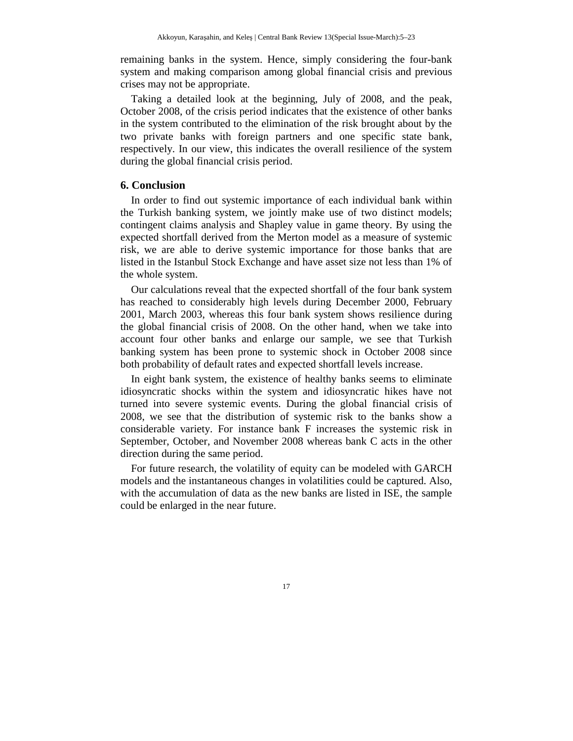remaining banks in the system. Hence, simply considering the four-bank system and making comparison among global financial crisis and previous crises may not be appropriate.

Taking a detailed look at the beginning, July of 2008, and the peak, October 2008, of the crisis period indicates that the existence of other banks in the system contributed to the elimination of the risk brought about by the two private banks with foreign partners and one specific state bank, respectively. In our view, this indicates the overall resilience of the system during the global financial crisis period.

# **6. Conclusion**

In order to find out systemic importance of each individual bank within the Turkish banking system, we jointly make use of two distinct models; contingent claims analysis and Shapley value in game theory. By using the expected shortfall derived from the Merton model as a measure of systemic risk, we are able to derive systemic importance for those banks that are listed in the Istanbul Stock Exchange and have asset size not less than 1% of the whole system.

Our calculations reveal that the expected shortfall of the four bank system has reached to considerably high levels during December 2000, February 2001, March 2003, whereas this four bank system shows resilience during the global financial crisis of 2008. On the other hand, when we take into account four other banks and enlarge our sample, we see that Turkish banking system has been prone to systemic shock in October 2008 since both probability of default rates and expected shortfall levels increase.

In eight bank system, the existence of healthy banks seems to eliminate idiosyncratic shocks within the system and idiosyncratic hikes have not turned into severe systemic events. During the global financial crisis of 2008, we see that the distribution of systemic risk to the banks show a considerable variety. For instance bank F increases the systemic risk in September, October, and November 2008 whereas bank C acts in the other direction during the same period.

For future research, the volatility of equity can be modeled with GARCH models and the instantaneous changes in volatilities could be captured. Also, with the accumulation of data as the new banks are listed in ISE, the sample could be enlarged in the near future.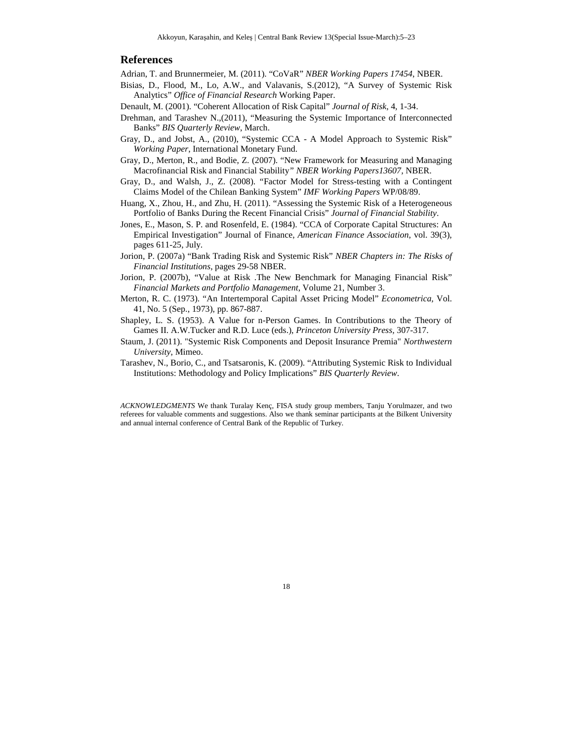#### **References**

Adrian, T. and Brunnermeier, M. (2011). "CoVaR" *NBER Working Papers 17454*, NBER.

- Bisias, D., Flood, M., Lo, A.W., and Valavanis, S.(2012), "A Survey of Systemic Risk Analytics" *Office of Financial Research* Working Paper.
- Denault, M. (2001). "Coherent Allocation of Risk Capital" *Journal of Risk*, 4, 1-34.
- Drehman, and Tarashev N.,(2011), "Measuring the Systemic Importance of Interconnected Banks" *BIS Quarterly Review*, March.
- Gray, D., and Jobst, A., (2010), "Systemic CCA A Model Approach to Systemic Risk" *Working Paper*, International Monetary Fund.
- Gray, D., Merton, R., and Bodie, Z. (2007). "New Framework for Measuring and Managing Macrofinancial Risk and Financial Stability*" NBER Working Papers13607,* NBER.
- Gray, D., and Walsh, J., Z. (2008). "Factor Model for Stress-testing with a Contingent Claims Model of the Chilean Banking System" *IMF Working Papers* WP/08/89.
- Huang, X., Zhou, H., and Zhu, H. (2011). "Assessing the Systemic Risk of a Heterogeneous Portfolio of Banks During the Recent Financial Crisis" *Journal of Financial Stability*.
- Jones, E., Mason, S. P. and Rosenfeld, E. (1984). "CCA of Corporate Capital Structures: An Empirical Investigation" Journal of Finance, *American Finance Association*, vol. 39(3), pages 611-25, July.
- Jorion, P. (2007a) "Bank Trading Risk and Systemic Risk" *NBER Chapters in: The Risks of Financial Institutions*, pages 29-58 NBER.
- Jorion, P. (2007b), "Value at Risk .The New Benchmark for Managing Financial Risk" *Financial Markets and Portfolio Management*, Volume 21, Number 3.
- Merton, R. C. (1973). "An Intertemporal Capital Asset Pricing Model" *Econometrica,* Vol. 41, No. 5 (Sep., 1973), pp. 867-887.
- Shapley, L. S. (1953). A Value for n-Person Games. In Contributions to the Theory of Games II. A.W.Tucker and R.D. Luce (eds.), *Princeton University Press,* 307-317.
- Staum, J. (2011). "Systemic Risk Components and Deposit Insurance Premia" *Northwestern University*, Mimeo.
- Tarashev, N., Borio, C., and Tsatsaronis, K. (2009). "Attributing Systemic Risk to Individual Institutions: Methodology and Policy Implications" *BIS Quarterly Review*.

*ACKNOWLEDGMENTS* We thank Turalay Kenç, FISA study group members, Tanju Yorulmazer, and two referees for valuable comments and suggestions. Also we thank seminar participants at the Bilkent University and annual internal conference of Central Bank of the Republic of Turkey.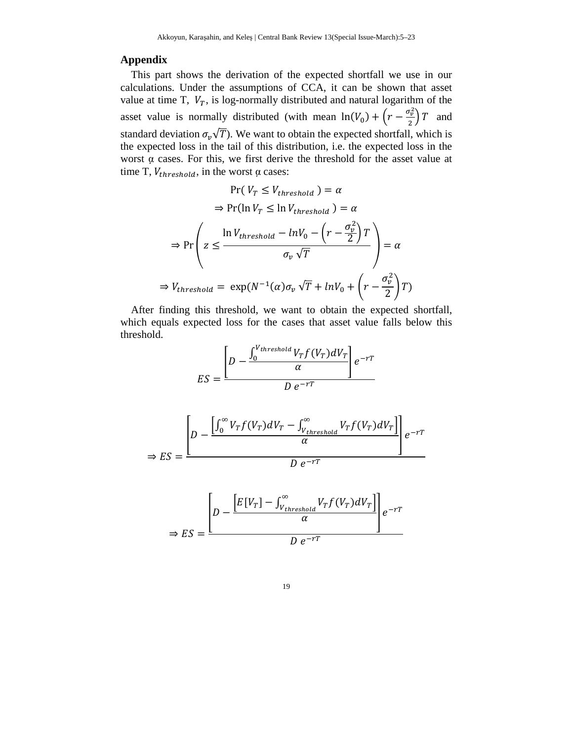## **Appendix**

This part shows the derivation of the expected shortfall we use in our calculations. Under the assumptions of CCA, it can be shown that asset value at time T,  $V_T$ , is log-normally distributed and natural logarithm of the asset value is normally distributed (with mean  $ln(V_0) + (r - \frac{\sigma_v^2}{2})$  $\frac{\partial v}{\partial x}$  and standard deviation  $\sigma_v\sqrt{T}$ ). We want to obtain the expected shortfall, which is the expected loss in the tail of this distribution, i.e. the expected loss in the worst α cases. For this, we first derive the threshold for the asset value at time T,  $V_{threshold}$ , in the worst  $\alpha$  cases:

$$
\Pr(V_T \le V_{threshold}) = \alpha
$$
  
\n
$$
\Rightarrow \Pr(\ln V_T \le \ln V_{threshold}) = \alpha
$$
  
\n
$$
\Rightarrow \Pr\left(z \le \frac{\ln V_{threshold} - \ln V_0 - \left(r - \frac{\sigma_v^2}{2}\right)T}{\sigma_v \sqrt{T}}\right) = \alpha
$$
  
\n
$$
\Rightarrow V_{threshold} = \exp(N^{-1}(\alpha)\sigma_v\sqrt{T} + \ln V_0 + \left(r - \frac{\sigma_v^2}{2}\right)T)
$$

After finding this threshold, we want to obtain the expected shortfall, which equals expected loss for the cases that asset value falls below this threshold.

$$
ES = \frac{\left[D - \frac{\int_0^{V_{threshold}} V_T f(V_T) dV_T}{\alpha}\right] e^{-rT}}{D e^{-rT}}
$$

$$
\Rightarrow ES = \frac{\left[D - \frac{\left[\int_0^\infty V_T f(V_T) dV_T - \int_{V_{threshold}}^\infty V_T f(V_T) dV_T\right]}{\alpha}\right] e^{-rT}}{D e^{-rT}}
$$

$$
\Rightarrow ES = \frac{\left[D - \frac{\left[E[V_T] - \int_{V_{threshold}}^{\infty} V_T f(V_T) dV_T\right]}{\alpha}\right] e^{-rT}}{D e^{-rT}}
$$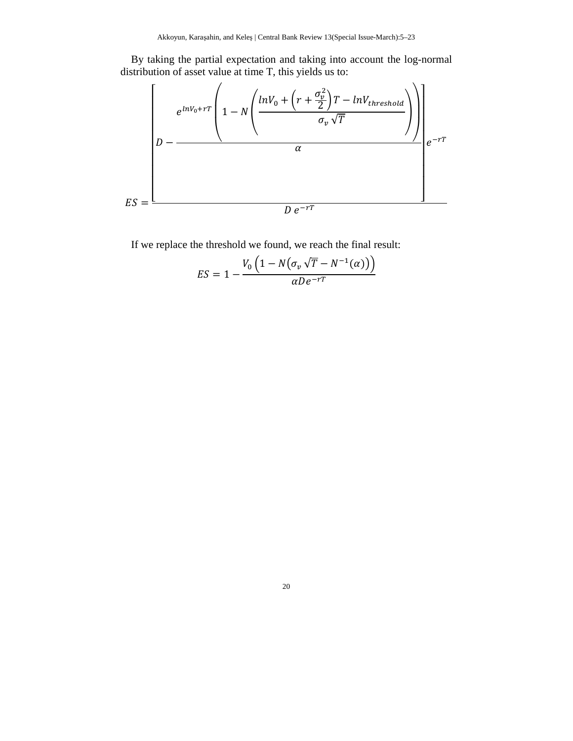By taking the partial expectation and taking into account the log-normal distribution of asset value at time T, this yields us to:



If we replace the threshold we found, we reach the final result:

$$
ES = 1 - \frac{V_0 \left(1 - N \left(\sigma_v \sqrt{T} - N^{-1}(\alpha)\right)\right)}{\alpha D e^{-rT}}
$$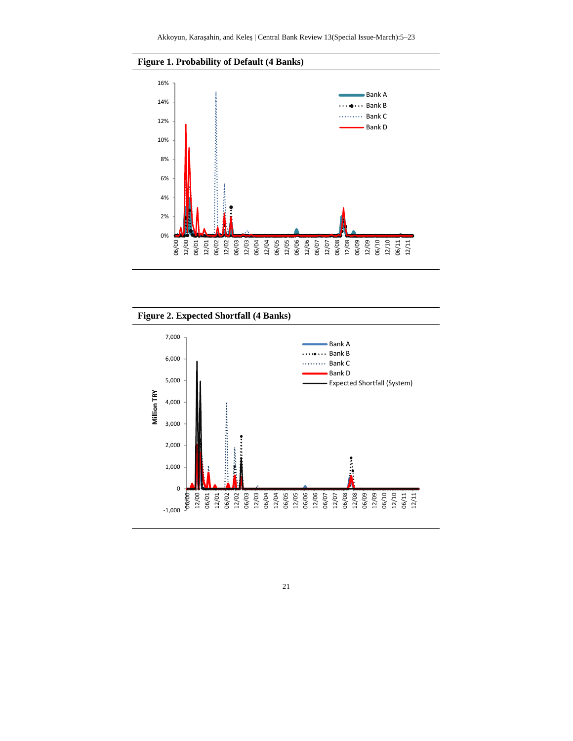



**Figure 2. Expected Shortfall (4 Banks)** 

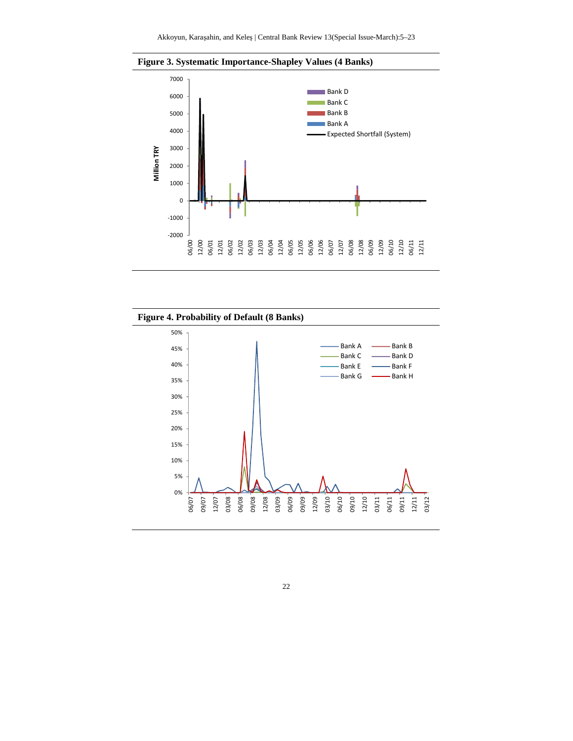



**Figure 4. Probability of Default (8 Banks)**